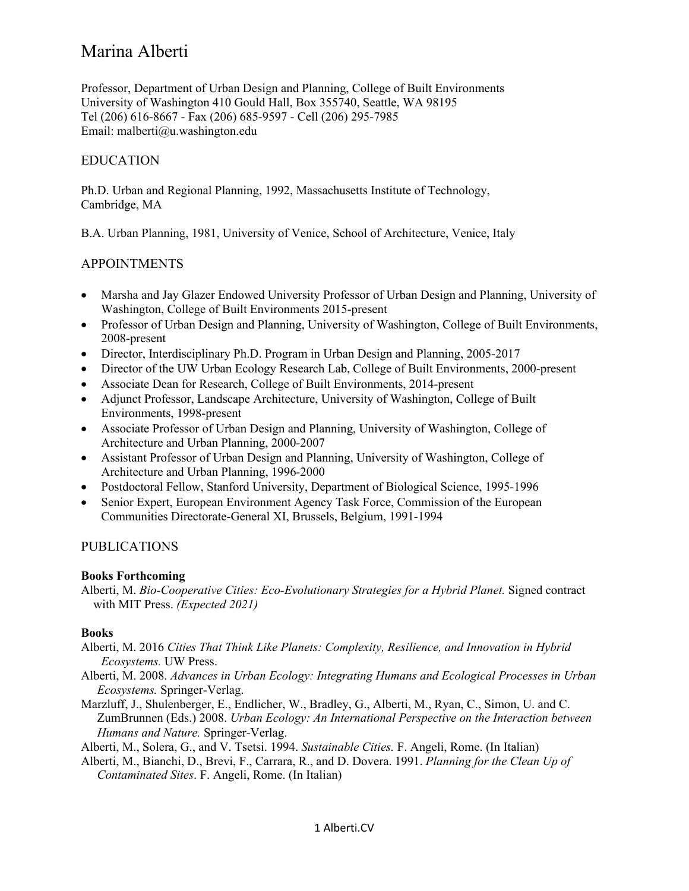Professor, Department of Urban Design and Planning, College of Built Environments University of Washington 410 Gould Hall, Box 355740, Seattle, WA 98195 Tel (206) 616-8667 - Fax (206) 685-9597 - Cell (206) 295-7985 Email: malberti@u.washington.edu

# EDUCATION

Ph.D. Urban and Regional Planning, 1992, Massachusetts Institute of Technology, Cambridge, MA

B.A. Urban Planning, 1981, University of Venice, School of Architecture, Venice, Italy

## APPOINTMENTS

- Marsha and Jay Glazer Endowed University Professor of Urban Design and Planning, University of Washington, College of Built Environments 2015-present
- Professor of Urban Design and Planning, University of Washington, College of Built Environments, 2008-present
- Director, Interdisciplinary Ph.D. Program in Urban Design and Planning, 2005-2017
- Director of the UW Urban Ecology Research Lab, College of Built Environments, 2000-present
- Associate Dean for Research, College of Built Environments, 2014-present
- Adjunct Professor, Landscape Architecture, University of Washington, College of Built Environments, 1998-present
- Associate Professor of Urban Design and Planning, University of Washington, College of Architecture and Urban Planning, 2000-2007
- Assistant Professor of Urban Design and Planning, University of Washington, College of Architecture and Urban Planning, 1996-2000
- Postdoctoral Fellow, Stanford University, Department of Biological Science, 1995-1996
- Senior Expert, European Environment Agency Task Force, Commission of the European Communities Directorate-General XI, Brussels, Belgium, 1991-1994

## PUBLICATIONS

#### **Books Forthcoming**

Alberti, M. *Bio-Cooperative Cities: Eco-Evolutionary Strategies for a Hybrid Planet.* Signed contract with MIT Press. *(Expected 2021)*

## **Books**

- Alberti, M. 2016 *Cities That Think Like Planets: Complexity, Resilience, and Innovation in Hybrid Ecosystems.* UW Press.
- Alberti, M. 2008. *Advances in Urban Ecology: Integrating Humans and Ecological Processes in Urban Ecosystems.* Springer-Verlag.
- Marzluff, J., Shulenberger, E., Endlicher, W., Bradley, G., Alberti, M., Ryan, C., Simon, U. and C. ZumBrunnen (Eds.) 2008. *Urban Ecology: An International Perspective on the Interaction between Humans and Nature.* Springer-Verlag.

Alberti, M., Solera, G., and V. Tsetsi. 1994. *Sustainable Cities.* F. Angeli, Rome. (In Italian)

Alberti, M., Bianchi, D., Brevi, F., Carrara, R., and D. Dovera. 1991. *Planning for the Clean Up of Contaminated Sites*. F. Angeli, Rome. (In Italian)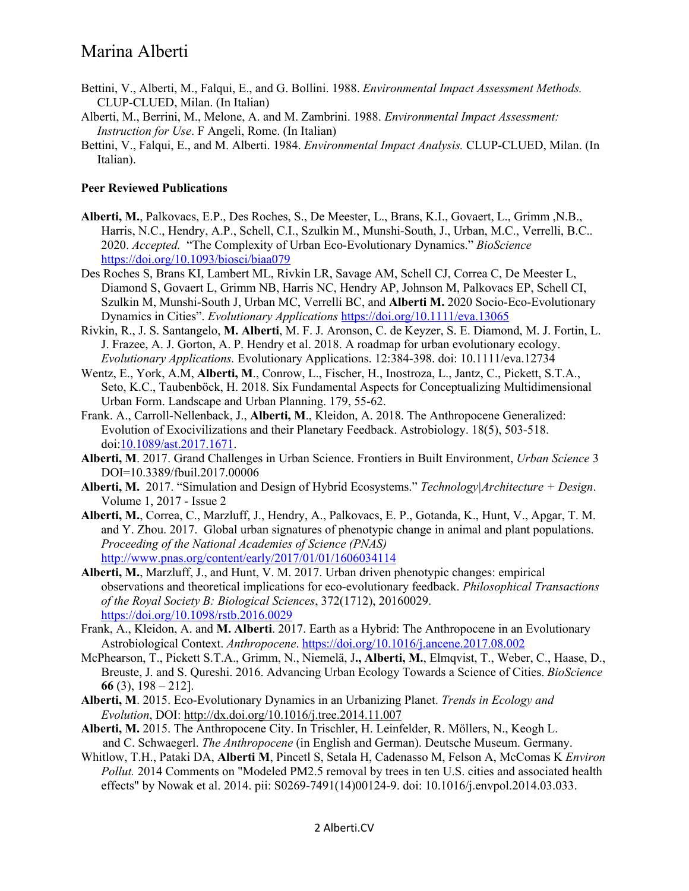- Bettini, V., Alberti, M., Falqui, E., and G. Bollini. 1988. *Environmental Impact Assessment Methods.*  CLUP-CLUED, Milan. (In Italian)
- Alberti, M., Berrini, M., Melone, A. and M. Zambrini. 1988. *Environmental Impact Assessment: Instruction for Use*. F Angeli, Rome. (In Italian)
- Bettini, V., Falqui, E., and M. Alberti. 1984. *Environmental Impact Analysis.* CLUP-CLUED, Milan. (In Italian).

#### **Peer Reviewed Publications**

- **Alberti, M.**, Palkovacs, E.P., Des Roches, S., De Meester, L., Brans, K.I., Govaert, L., Grimm ,N.B., Harris, N.C., Hendry, A.P., Schell, C.I., Szulkin M., Munshi-South, J., Urban, M.C., Verrelli, B.C.. 2020. *Accepted.* "The Complexity of Urban Eco-Evolutionary Dynamics." *BioScience* https://doi.org/10.1093/biosci/biaa079
- Des Roches S, Brans KI, Lambert ML, Rivkin LR, Savage AM, Schell CJ, Correa C, De Meester L, Diamond S, Govaert L, Grimm NB, Harris NC, Hendry AP, Johnson M, Palkovacs EP, Schell CI, Szulkin M, Munshi-South J, Urban MC, Verrelli BC, and **Alberti M.** 2020 Socio-Eco-Evolutionary Dynamics in Cities". *Evolutionary Applications* https://doi.org/10.1111/eva.13065
- Rivkin, R., J. S. Santangelo, **M. Alberti**, M. F. J. Aronson, C. de Keyzer, S. E. Diamond, M. J. Fortin, L. J. Frazee, A. J. Gorton, A. P. Hendry et al. 2018. A roadmap for urban evolutionary ecology. *Evolutionary Applications.* Evolutionary Applications. 12:384-398. doi: 10.1111/eva.12734
- Wentz, E., York, A.M, **Alberti, M**., Conrow, L., Fischer, H., Inostroza, L., Jantz, C., Pickett, S.T.A., Seto, K.C., Taubenböck, H. 2018. Six Fundamental Aspects for Conceptualizing Multidimensional Urban Form. Landscape and Urban Planning. 179, 55-62.
- Frank. A., Carroll-Nellenback, J., **Alberti, M**., Kleidon, A. 2018. The Anthropocene Generalized: Evolution of Exocivilizations and their Planetary Feedback. Astrobiology. 18(5), 503-518. doi:10.1089/ast.2017.1671.
- **Alberti, M**. 2017. Grand Challenges in Urban Science. Frontiers in Built Environment, *Urban Science* 3 DOI=10.3389/fbuil.2017.00006
- **Alberti, M.** 2017. "Simulation and Design of Hybrid Ecosystems." *Technology|Architecture + Design*. Volume 1, 2017 - Issue 2
- **Alberti, M.**, Correa, C., Marzluff, J., Hendry, A., Palkovacs, E. P., Gotanda, K., Hunt, V., Apgar, T. M. and Y. Zhou. 2017. Global urban signatures of phenotypic change in animal and plant populations. *Proceeding of the National Academies of Science (PNAS)* http://www.pnas.org/content/early/2017/01/01/1606034114
- **Alberti, M.**, Marzluff, J., and Hunt, V. M. 2017. Urban driven phenotypic changes: empirical observations and theoretical implications for eco-evolutionary feedback. *Philosophical Transactions of the Royal Society B: Biological Sciences*, 372(1712), 20160029. https://doi.org/10.1098/rstb.2016.0029
- Frank, A., Kleidon, A. and **M. Alberti**. 2017. Earth as a Hybrid: The Anthropocene in an Evolutionary Astrobiological Context. *Anthropocene*. https://doi.org/10.1016/j.ancene.2017.08.002
- McPhearson, T., Pickett S.T.A., Grimm, N., Niemelä, J**., Alberti, M.**, Elmqvist, T., Weber, C., Haase, D., Breuste, J. and S. Qureshi. 2016. Advancing Urban Ecology Towards a Science of Cities. *BioScience* **66** (3), 198 – 212].
- **Alberti, M**. 2015. Eco-Evolutionary Dynamics in an Urbanizing Planet. *Trends in Ecology and Evolution*, DOI: http://dx.doi.org/10.1016/j.tree.2014.11.007
- **Alberti, M.** 2015. The Anthropocene City. In Trischler, H. Leinfelder, R. Möllers, N., Keogh L. and C. Schwaegerl. *The Anthropocene* (in English and German). Deutsche Museum. Germany.
- Whitlow, T.H., Pataki DA, **Alberti M**, Pincetl S, Setala H, Cadenasso M, Felson A, McComas K *Environ Pollut.* 2014 Comments on "Modeled PM2.5 removal by trees in ten U.S. cities and associated health effects" by Nowak et al. 2014. pii: S0269-7491(14)00124-9. doi: 10.1016/j.envpol.2014.03.033.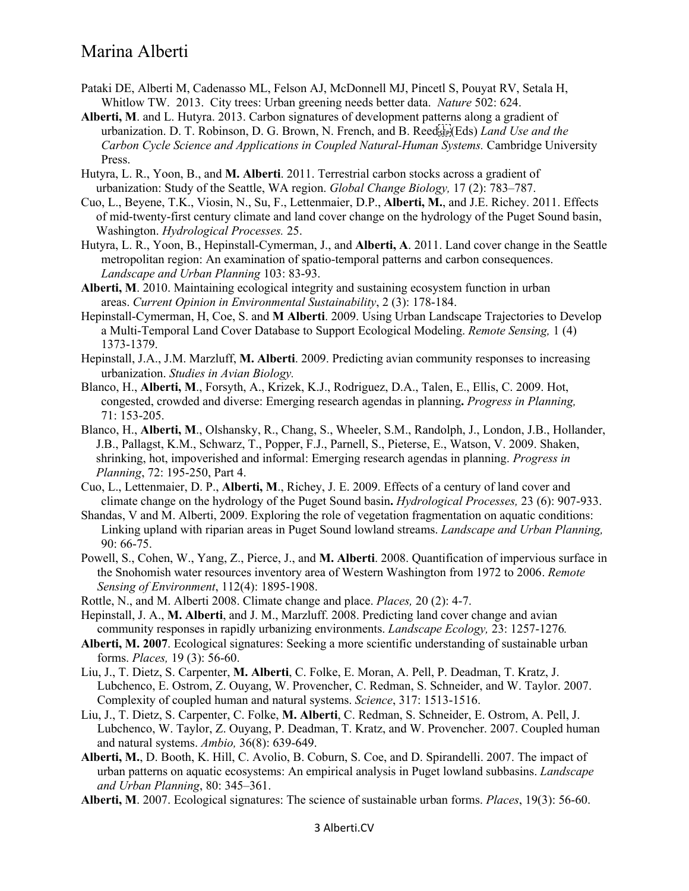- Pataki DE, Alberti M, Cadenasso ML, Felson AJ, McDonnell MJ, Pincetl S, Pouyat RV, Setala H, Whitlow TW. 2013. City trees: Urban greening needs better data. *Nature* 502: 624.
- **Alberti, M**. and L. Hutyra. 2013. Carbon signatures of development patterns along a gradient of urbanization. D. T. Robinson, D. G. Brown, N. French, and B. Reed
(Eds) *Land Use and the Carbon Cycle Science and Applications in Coupled Natural-Human Systems.* Cambridge University Press.
- Hutyra, L. R., Yoon, B., and **M. Alberti**. 2011. Terrestrial carbon stocks across a gradient of urbanization: Study of the Seattle, WA region. *Global Change Biology,* 17 (2): 783–787.
- Cuo, L., Beyene, T.K., Viosin, N., Su, F., Lettenmaier, D.P., **Alberti, M.**, and J.E. Richey. 2011. Effects of mid-twenty-first century climate and land cover change on the hydrology of the Puget Sound basin, Washington. *Hydrological Processes.* 25.
- Hutyra, L. R., Yoon, B., Hepinstall-Cymerman, J., and **Alberti, A**. 2011. Land cover change in the Seattle metropolitan region: An examination of spatio-temporal patterns and carbon consequences. *Landscape and Urban Planning* 103: 83-93.
- **Alberti, M**. 2010. Maintaining ecological integrity and sustaining ecosystem function in urban areas. *Current Opinion in Environmental Sustainability*, 2 (3): 178-184.
- Hepinstall-Cymerman, H, Coe, S. and **M Alberti**. 2009. Using Urban Landscape Trajectories to Develop a Multi-Temporal Land Cover Database to Support Ecological Modeling. *Remote Sensing,* 1 (4) 1373-1379.
- Hepinstall, J.A., J.M. Marzluff, **M. Alberti**. 2009. Predicting avian community responses to increasing urbanization. *Studies in Avian Biology.*
- Blanco, H., **Alberti, M**., Forsyth, A., Krizek, K.J., Rodriguez, D.A., Talen, E., Ellis, C. 2009. Hot, congested, crowded and diverse: Emerging research agendas in planning**.** *Progress in Planning,* 71: 153-205.
- Blanco, H., **Alberti, M**., Olshansky, R., Chang, S., Wheeler, S.M., Randolph, J., London, J.B., Hollander, J.B., Pallagst, K.M., Schwarz, T., Popper, F.J., Parnell, S., Pieterse, E., Watson, V. 2009. Shaken, shrinking, hot, impoverished and informal: Emerging research agendas in planning. *Progress in Planning*, 72: 195-250, Part 4.
- Cuo, L., Lettenmaier, D. P., **Alberti, M**., Richey, J. E. 2009. Effects of a century of land cover and climate change on the hydrology of the Puget Sound basin**.** *Hydrological Processes,* 23 (6): 907-933.
- Shandas, V and M. Alberti, 2009. Exploring the role of vegetation fragmentation on aquatic conditions: Linking upland with riparian areas in Puget Sound lowland streams. *Landscape and Urban Planning,* 90: 66-75.
- Powell, S., Cohen, W., Yang, Z., Pierce, J., and **M. Alberti**. 2008. Quantification of impervious surface in the Snohomish water resources inventory area of Western Washington from 1972 to 2006. *Remote Sensing of Environment*, 112(4): 1895-1908.
- Rottle, N., and M. Alberti 2008. Climate change and place. *Places,* 20 (2): 4-7.
- Hepinstall, J. A., **M. Alberti**, and J. M., Marzluff. 2008. Predicting land cover change and avian community responses in rapidly urbanizing environments. *Landscape Ecology,* 23: 1257-1276*.*
- **Alberti, M. 2007**. Ecological signatures: Seeking a more scientific understanding of sustainable urban forms. *Places,* 19 (3): 56-60.
- Liu, J., T. Dietz, S. Carpenter, **M. Alberti**, C. Folke, E. Moran, A. Pell, P. Deadman, T. Kratz, J. Lubchenco, E. Ostrom, Z. Ouyang, W. Provencher, C. Redman, S. Schneider, and W. Taylor. 2007. Complexity of coupled human and natural systems. *Science*, 317: 1513-1516.
- Liu, J., T. Dietz, S. Carpenter, C. Folke, **M. Alberti**, C. Redman, S. Schneider, E. Ostrom, A. Pell, J. Lubchenco, W. Taylor, Z. Ouyang, P. Deadman, T. Kratz, and W. Provencher. 2007. Coupled human and natural systems. *Ambio,* 36(8): 639-649.
- **Alberti, M.**, D. Booth, K. Hill, C. Avolio, B. Coburn, S. Coe, and D. Spirandelli. 2007. The impact of urban patterns on aquatic ecosystems: An empirical analysis in Puget lowland subbasins. *Landscape and Urban Planning*, 80: 345–361.
- **Alberti, M**. 2007. Ecological signatures: The science of sustainable urban forms. *Places*, 19(3): 56-60.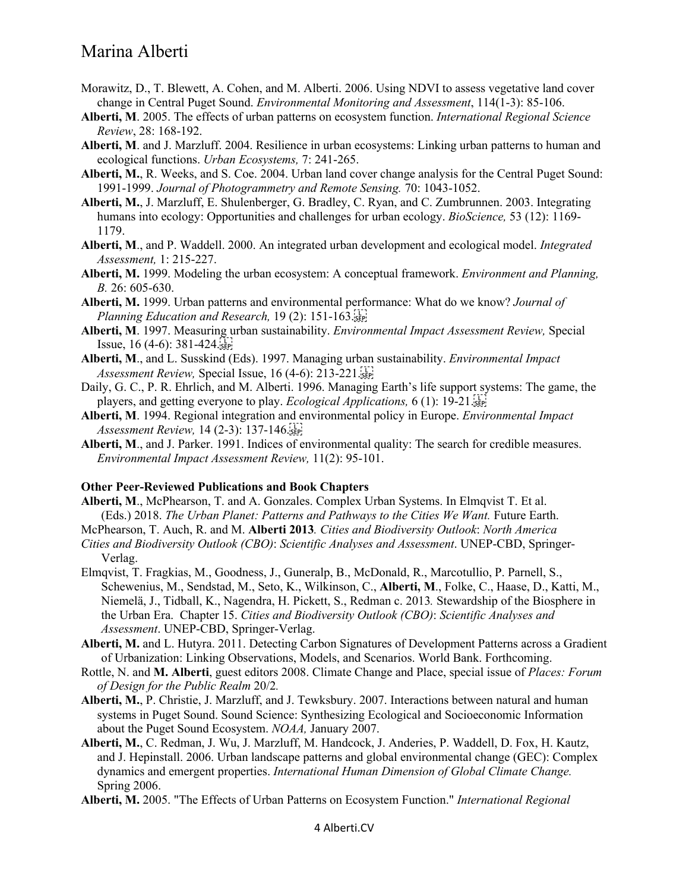- Morawitz, D., T. Blewett, A. Cohen, and M. Alberti. 2006. Using NDVI to assess vegetative land cover change in Central Puget Sound. *Environmental Monitoring and Assessment*, 114(1-3): 85-106.
- **Alberti, M**. 2005. The effects of urban patterns on ecosystem function. *International Regional Science Review*, 28: 168-192.
- **Alberti, M**. and J. Marzluff. 2004. Resilience in urban ecosystems: Linking urban patterns to human and ecological functions. *Urban Ecosystems,* 7: 241-265.
- **Alberti, M.**, R. Weeks, and S. Coe. 2004. Urban land cover change analysis for the Central Puget Sound: 1991-1999. *Journal of Photogrammetry and Remote Sensing.* 70: 1043-1052.
- **Alberti, M.**, J. Marzluff, E. Shulenberger, G. Bradley, C. Ryan, and C. Zumbrunnen. 2003. Integrating humans into ecology: Opportunities and challenges for urban ecology. *BioScience,* 53 (12): 1169- 1179.
- **Alberti, M**., and P. Waddell. 2000. An integrated urban development and ecological model. *Integrated Assessment,* 1: 215-227.
- **Alberti, M.** 1999. Modeling the urban ecosystem: A conceptual framework. *Environment and Planning, B.* 26: 605-630.
- **Alberti, M.** 1999. Urban patterns and environmental performance: What do we know? *Journal of Planning Education and Research,* 19 (2): 151-163.
- **Alberti, M**. 1997. Measuring urban sustainability. *Environmental Impact Assessment Review,* Special Issue,  $16(4-6)$ :  $381-424$ .
- **Alberti, M**., and L. Susskind (Eds). 1997. Managing urban sustainability. *Environmental Impact Assessment Review,* Special Issue, 16 (4-6): 213-221.
- Daily, G. C., P. R. Ehrlich, and M. Alberti. 1996. Managing Earth's life support systems: The game, the players, and getting everyone to play. *Ecological Applications,* 6 (1): 19-21.
- **Alberti, M**. 1994. Regional integration and environmental policy in Europe. *Environmental Impact Assessment Review,* 14 (2-3): 137-146.
- **Alberti, M**., and J. Parker. 1991. Indices of environmental quality: The search for credible measures. *Environmental Impact Assessment Review,* 11(2): 95-101.

#### **Other Peer-Reviewed Publications and Book Chapters**

- **Alberti, M**., McPhearson, T. and A. Gonzales. Complex Urban Systems. In Elmqvist T. Et al. (Eds.) 2018. *The Urban Planet: Patterns and Pathways to the Cities We Want.* Future Earth.
- McPhearson, T. Auch, R. and M. **Alberti 2013***. Cities and Biodiversity Outlook*: *North America*
- *Cities and Biodiversity Outlook (CBO)*: *Scientific Analyses and Assessment*. UNEP-CBD, Springer-Verlag.
- Elmqvist, T. Fragkias, M., Goodness, J., Guneralp, B., McDonald, R., Marcotullio, P. Parnell, S., Schewenius, M., Sendstad, M., Seto, K., Wilkinson, C., **Alberti, M**., Folke, C., Haase, D., Katti, M., Niemelä, J., Tidball, K., Nagendra, H. Pickett, S., Redman c. 2013*.* Stewardship of the Biosphere in the Urban Era. Chapter 15. *Cities and Biodiversity Outlook (CBO)*: *Scientific Analyses and Assessment*. UNEP-CBD, Springer-Verlag.
- **Alberti, M.** and L. Hutyra. 2011. Detecting Carbon Signatures of Development Patterns across a Gradient of Urbanization: Linking Observations, Models, and Scenarios. World Bank. Forthcoming.
- Rottle, N. and **M. Alberti**, guest editors 2008. Climate Change and Place, special issue of *Places: Forum of Design for the Public Realm* 20/2*.*
- **Alberti, M.**, P. Christie, J. Marzluff, and J. Tewksbury. 2007. Interactions between natural and human systems in Puget Sound. Sound Science: Synthesizing Ecological and Socioeconomic Information about the Puget Sound Ecosystem. *NOAA,* January 2007.
- **Alberti, M.**, C. Redman, J. Wu, J. Marzluff, M. Handcock, J. Anderies, P. Waddell, D. Fox, H. Kautz, and J. Hepinstall. 2006. Urban landscape patterns and global environmental change (GEC): Complex dynamics and emergent properties. *International Human Dimension of Global Climate Change.* Spring 2006.
- **Alberti, M.** 2005. "The Effects of Urban Patterns on Ecosystem Function." *International Regional*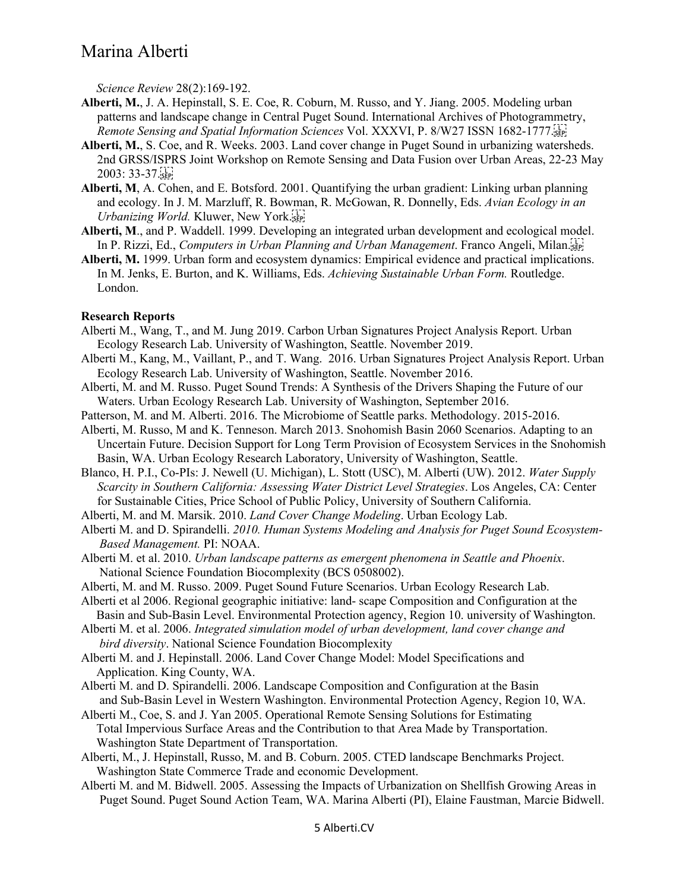*Science Review* 28(2):169-192.

- **Alberti, M.**, J. A. Hepinstall, S. E. Coe, R. Coburn, M. Russo, and Y. Jiang. 2005. Modeling urban patterns and landscape change in Central Puget Sound. International Archives of Photogrammetry, *Remote Sensing and Spatial Information Sciences* Vol. XXXVI, P. 8/W27 ISSN 1682-1777.
- **Alberti, M.**, S. Coe, and R. Weeks. 2003. Land cover change in Puget Sound in urbanizing watersheds. 2nd GRSS/ISPRS Joint Workshop on Remote Sensing and Data Fusion over Urban Areas, 22-23 May 2003: 33-37.
- **Alberti, M**, A. Cohen, and E. Botsford. 2001. Quantifying the urban gradient: Linking urban planning and ecology. In J. M. Marzluff, R. Bowman, R. McGowan, R. Donnelly, Eds. *Avian Ecology in an Urbanizing World.* Kluwer, New York.
- **Alberti, M**., and P. Waddell. 1999. Developing an integrated urban development and ecological model. In P. Rizzi, Ed., *Computers in Urban Planning and Urban Management*. Franco Angeli, Milan.
- **Alberti, M.** 1999. Urban form and ecosystem dynamics: Empirical evidence and practical implications. In M. Jenks, E. Burton, and K. Williams, Eds. *Achieving Sustainable Urban Form.* Routledge. London.

#### **Research Reports**

- Alberti M., Wang, T., and M. Jung 2019. Carbon Urban Signatures Project Analysis Report. Urban Ecology Research Lab. University of Washington, Seattle. November 2019.
- Alberti M., Kang, M., Vaillant, P., and T. Wang. 2016. Urban Signatures Project Analysis Report. Urban Ecology Research Lab. University of Washington, Seattle. November 2016.
- Alberti, M. and M. Russo. Puget Sound Trends: A Synthesis of the Drivers Shaping the Future of our Waters. Urban Ecology Research Lab. University of Washington, September 2016.
- Patterson, M. and M. Alberti. 2016. The Microbiome of Seattle parks. Methodology. 2015-2016.
- Alberti, M. Russo, M and K. Tenneson. March 2013. Snohomish Basin 2060 Scenarios. Adapting to an Uncertain Future. Decision Support for Long Term Provision of Ecosystem Services in the Snohomish Basin, WA. Urban Ecology Research Laboratory, University of Washington, Seattle.
- Blanco, H. P.I., Co-PIs: J. Newell (U. Michigan), L. Stott (USC), M. Alberti (UW). 2012. *Water Supply Scarcity in Southern California: Assessing Water District Level Strategies*. Los Angeles, CA: Center for Sustainable Cities, Price School of Public Policy, University of Southern California.
- Alberti, M. and M. Marsik. 2010. *Land Cover Change Modeling*. Urban Ecology Lab.

Alberti M. and D. Spirandelli. *2010. Human Systems Modeling and Analysis for Puget Sound Ecosystem- Based Management.* PI: NOAA.

- Alberti M. et al. 2010. *Urban landscape patterns as emergent phenomena in Seattle and Phoenix*. National Science Foundation Biocomplexity (BCS 0508002).
- Alberti, M. and M. Russo. 2009. Puget Sound Future Scenarios. Urban Ecology Research Lab.
- Alberti et al 2006. Regional geographic initiative: land- scape Composition and Configuration at the Basin and Sub-Basin Level. Environmental Protection agency, Region 10. university of Washington.
- Alberti M. et al. 2006. *Integrated simulation model of urban development, land cover change and bird diversity*. National Science Foundation Biocomplexity
- Alberti M. and J. Hepinstall. 2006. Land Cover Change Model: Model Specifications and Application. King County, WA.
- Alberti M. and D. Spirandelli. 2006. Landscape Composition and Configuration at the Basin and Sub-Basin Level in Western Washington. Environmental Protection Agency, Region 10, WA.
- Alberti M., Coe, S. and J. Yan 2005. Operational Remote Sensing Solutions for Estimating Total Impervious Surface Areas and the Contribution to that Area Made by Transportation. Washington State Department of Transportation.
- Alberti, M., J. Hepinstall, Russo, M. and B. Coburn. 2005. CTED landscape Benchmarks Project. Washington State Commerce Trade and economic Development.
- Alberti M. and M. Bidwell. 2005. Assessing the Impacts of Urbanization on Shellfish Growing Areas in Puget Sound. Puget Sound Action Team, WA. Marina Alberti (PI), Elaine Faustman, Marcie Bidwell.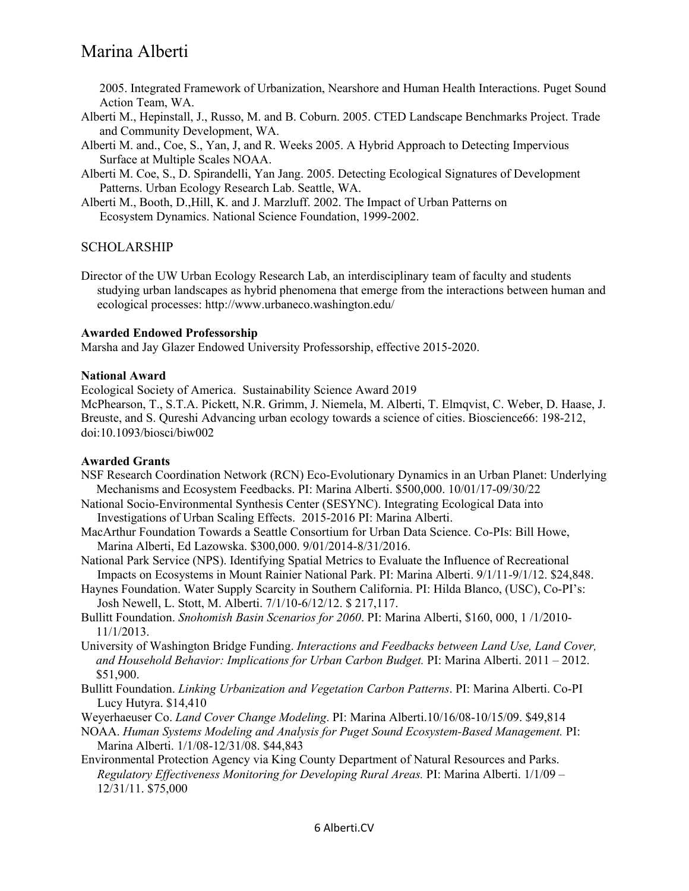2005. Integrated Framework of Urbanization, Nearshore and Human Health Interactions. Puget Sound Action Team, WA.

- Alberti M., Hepinstall, J., Russo, M. and B. Coburn. 2005. CTED Landscape Benchmarks Project. Trade and Community Development, WA.
- Alberti M. and., Coe, S., Yan, J, and R. Weeks 2005. A Hybrid Approach to Detecting Impervious Surface at Multiple Scales NOAA.
- Alberti M. Coe, S., D. Spirandelli, Yan Jang. 2005. Detecting Ecological Signatures of Development Patterns. Urban Ecology Research Lab. Seattle, WA.
- Alberti M., Booth, D.,Hill, K. and J. Marzluff. 2002. The Impact of Urban Patterns on Ecosystem Dynamics. National Science Foundation, 1999-2002.

## SCHOLARSHIP

Director of the UW Urban Ecology Research Lab, an interdisciplinary team of faculty and students studying urban landscapes as hybrid phenomena that emerge from the interactions between human and ecological processes: http://www.urbaneco.washington.edu/

#### **Awarded Endowed Professorship**

Marsha and Jay Glazer Endowed University Professorship, effective 2015-2020.

#### **National Award**

Ecological Society of America. Sustainability Science Award 2019

McPhearson, T., S.T.A. Pickett, N.R. Grimm, J. Niemela, M. Alberti, T. Elmqvist, C. Weber, D. Haase, J. Breuste, and S. Qureshi Advancing urban ecology towards a science of cities. Bioscience66: 198-212, doi:10.1093/biosci/biw002

## **Awarded Grants**

- NSF Research Coordination Network (RCN) Eco-Evolutionary Dynamics in an Urban Planet: Underlying Mechanisms and Ecosystem Feedbacks. PI: Marina Alberti. \$500,000. 10/01/17-09/30/22
- National Socio-Environmental Synthesis Center (SESYNC). Integrating Ecological Data into Investigations of Urban Scaling Effects. 2015-2016 PI: Marina Alberti.
- MacArthur Foundation Towards a Seattle Consortium for Urban Data Science. Co-PIs: Bill Howe, Marina Alberti, Ed Lazowska. \$300,000. 9/01/2014-8/31/2016.
- National Park Service (NPS). Identifying Spatial Metrics to Evaluate the Influence of Recreational Impacts on Ecosystems in Mount Rainier National Park. PI: Marina Alberti. 9/1/11-9/1/12. \$24,848.
- Haynes Foundation. Water Supply Scarcity in Southern California. PI: Hilda Blanco, (USC), Co-PI's: Josh Newell, L. Stott, M. Alberti. 7/1/10-6/12/12. \$ 217,117.
- Bullitt Foundation. *Snohomish Basin Scenarios for 2060*. PI: Marina Alberti, \$160, 000, 1 /1/2010- 11/1/2013.
- University of Washington Bridge Funding. *Interactions and Feedbacks between Land Use, Land Cover, and Household Behavior: Implications for Urban Carbon Budget.* PI: Marina Alberti. 2011 – 2012. \$51,900.
- Bullitt Foundation. *Linking Urbanization and Vegetation Carbon Patterns*. PI: Marina Alberti. Co-PI Lucy Hutyra. \$14,410

Weyerhaeuser Co. *Land Cover Change Modeling*. PI: Marina Alberti.10/16/08-10/15/09. \$49,814

- NOAA. *Human Systems Modeling and Analysis for Puget Sound Ecosystem-Based Management.* PI: Marina Alberti. 1/1/08-12/31/08. \$44,843
- Environmental Protection Agency via King County Department of Natural Resources and Parks. *Regulatory Effectiveness Monitoring for Developing Rural Areas.* PI: Marina Alberti. 1/1/09 – 12/31/11. \$75,000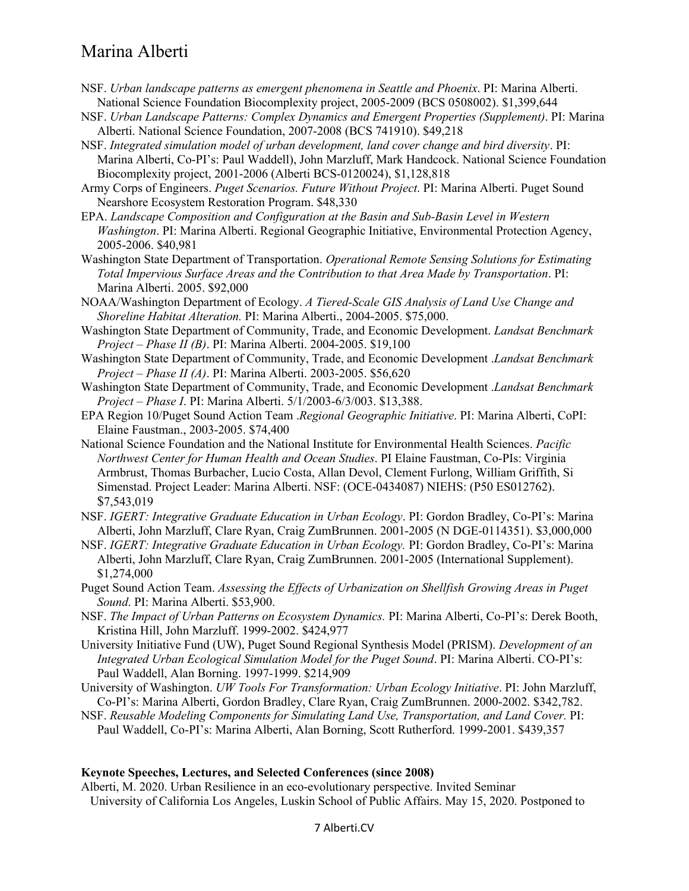- NSF. *Urban landscape patterns as emergent phenomena in Seattle and Phoenix*. PI: Marina Alberti. National Science Foundation Biocomplexity project, 2005-2009 (BCS 0508002). \$1,399,644
- NSF. *Urban Landscape Patterns: Complex Dynamics and Emergent Properties (Supplement)*. PI: Marina Alberti. National Science Foundation, 2007-2008 (BCS 741910). \$49,218
- NSF. *Integrated simulation model of urban development, land cover change and bird diversity*. PI: Marina Alberti, Co-PI's: Paul Waddell), John Marzluff, Mark Handcock. National Science Foundation Biocomplexity project, 2001-2006 (Alberti BCS-0120024), \$1,128,818
- Army Corps of Engineers. *Puget Scenarios. Future Without Project*. PI: Marina Alberti. Puget Sound Nearshore Ecosystem Restoration Program. \$48,330
- EPA. *Landscape Composition and Configuration at the Basin and Sub-Basin Level in Western Washington*. PI: Marina Alberti. Regional Geographic Initiative, Environmental Protection Agency, 2005-2006. \$40,981
- Washington State Department of Transportation. *Operational Remote Sensing Solutions for Estimating Total Impervious Surface Areas and the Contribution to that Area Made by Transportation*. PI: Marina Alberti. 2005. \$92,000
- NOAA/Washington Department of Ecology. *A Tiered-Scale GIS Analysis of Land Use Change and Shoreline Habitat Alteration.* PI: Marina Alberti., 2004-2005. \$75,000.
- Washington State Department of Community, Trade, and Economic Development. *Landsat Benchmark Project – Phase II (B)*. PI: Marina Alberti. 2004-2005. \$19,100
- Washington State Department of Community, Trade, and Economic Development .*Landsat Benchmark Project – Phase II (A)*. PI: Marina Alberti. 2003-2005. \$56,620
- Washington State Department of Community, Trade, and Economic Development .*Landsat Benchmark Project – Phase I*. PI: Marina Alberti. 5/1/2003-6/3/003. \$13,388.
- EPA Region 10/Puget Sound Action Team .*Regional Geographic Initiative*. PI: Marina Alberti, CoPI: Elaine Faustman., 2003-2005. \$74,400
- National Science Foundation and the National Institute for Environmental Health Sciences. *Pacific Northwest Center for Human Health and Ocean Studies*. PI Elaine Faustman, Co-PIs: Virginia Armbrust, Thomas Burbacher, Lucio Costa, Allan Devol, Clement Furlong, William Griffith, Si Simenstad. Project Leader: Marina Alberti. NSF: (OCE-0434087) NIEHS: (P50 ES012762). \$7,543,019
- NSF. *IGERT: Integrative Graduate Education in Urban Ecology*. PI: Gordon Bradley, Co-PI's: Marina Alberti, John Marzluff, Clare Ryan, Craig ZumBrunnen. 2001-2005 (N DGE-0114351). \$3,000,000
- NSF. *IGERT: Integrative Graduate Education in Urban Ecology.* PI: Gordon Bradley, Co-PI's: Marina Alberti, John Marzluff, Clare Ryan, Craig ZumBrunnen. 2001-2005 (International Supplement). \$1,274,000
- Puget Sound Action Team. *Assessing the Effects of Urbanization on Shellfish Growing Areas in Puget Sound*. PI: Marina Alberti. \$53,900.
- NSF. *The Impact of Urban Patterns on Ecosystem Dynamics.* PI: Marina Alberti, Co-PI's: Derek Booth, Kristina Hill, John Marzluff. 1999-2002. \$424,977
- University Initiative Fund (UW), Puget Sound Regional Synthesis Model (PRISM). *Development of an Integrated Urban Ecological Simulation Model for the Puget Sound*. PI: Marina Alberti. CO-PI's: Paul Waddell, Alan Borning. 1997-1999. \$214,909
- University of Washington. *UW Tools For Transformation: Urban Ecology Initiative*. PI: John Marzluff, Co-PI's: Marina Alberti, Gordon Bradley, Clare Ryan, Craig ZumBrunnen. 2000-2002. \$342,782.
- NSF. *Reusable Modeling Components for Simulating Land Use, Transportation, and Land Cover.* PI: Paul Waddell, Co-PI's: Marina Alberti, Alan Borning, Scott Rutherford. 1999-2001. \$439,357

#### **Keynote Speeches, Lectures, and Selected Conferences (since 2008)**

Alberti, M. 2020. Urban Resilience in an eco-evolutionary perspective. Invited Seminar University of California Los Angeles, Luskin School of Public Affairs. May 15, 2020. Postponed to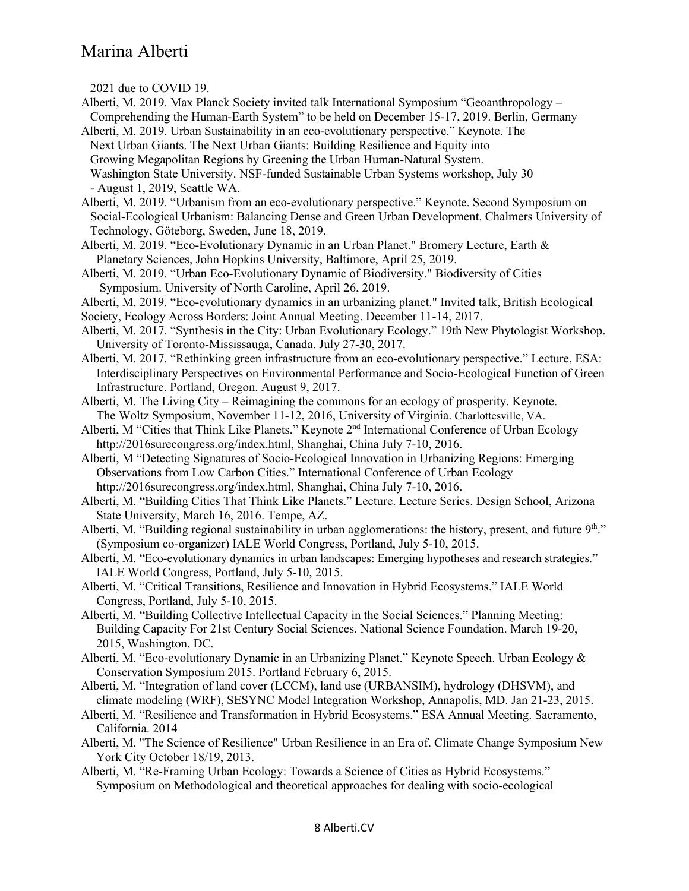2021 due to COVID 19.

- Alberti, M. 2019. Max Planck Society invited talk International Symposium "Geoanthropology Comprehending the Human-Earth System" to be held on December 15-17, 2019. Berlin, Germany
- Alberti, M. 2019. Urban Sustainability in an eco-evolutionary perspective." Keynote. The Next Urban Giants. The Next Urban Giants: Building Resilience and Equity into Growing Megapolitan Regions by Greening the Urban Human-Natural System. Washington State University. NSF-funded Sustainable Urban Systems workshop, July 30 - August 1, 2019, Seattle WA.
- Alberti, M. 2019. "Urbanism from an eco-evolutionary perspective." Keynote. Second Symposium on Social‐Ecological Urbanism: Balancing Dense and Green Urban Development. Chalmers University of Technology, Göteborg, Sweden, June 18, 2019.
- Alberti, M. 2019. "Eco-Evolutionary Dynamic in an Urban Planet." Bromery Lecture, Earth & Planetary Sciences, John Hopkins University, Baltimore, April 25, 2019.
- Alberti, M. 2019. "Urban Eco-Evolutionary Dynamic of Biodiversity." Biodiversity of Cities Symposium. University of North Caroline, April 26, 2019.
- Alberti, M. 2019. "Eco-evolutionary dynamics in an urbanizing planet." Invited talk, British Ecological
- Society, Ecology Across Borders: Joint Annual Meeting. December 11-14, 2017.
- Alberti, M. 2017. "Synthesis in the City: Urban Evolutionary Ecology." 19th New Phytologist Workshop. University of Toronto-Mississauga, Canada. July 27-30, 2017.
- Alberti, M. 2017. "Rethinking green infrastructure from an eco-evolutionary perspective." Lecture, ESA: Interdisciplinary Perspectives on Environmental Performance and Socio-Ecological Function of Green Infrastructure. Portland, Oregon. August 9, 2017.
- Alberti, M. The Living City Reimagining the commons for an ecology of prosperity. Keynote. The Woltz Symposium, November 11-12, 2016, University of Virginia. Charlottesville, VA.
- Alberti, M "Cities that Think Like Planets." Keynote  $2<sup>nd</sup>$  International Conference of Urban Ecology http://2016surecongress.org/index.html, Shanghai, China July 7-10, 2016.
- Alberti, M "Detecting Signatures of Socio-Ecological Innovation in Urbanizing Regions: Emerging Observations from Low Carbon Cities." International Conference of Urban Ecology http://2016surecongress.org/index.html, Shanghai, China July 7-10, 2016.
- Alberti, M. "Building Cities That Think Like Planets." Lecture. Lecture Series. Design School, Arizona State University, March 16, 2016. Tempe, AZ.
- Alberti, M. "Building regional sustainability in urban agglomerations: the history, present, and future  $9<sup>th</sup>$ ." (Symposium co-organizer) IALE World Congress, Portland, July 5-10, 2015.
- Alberti, M. "Eco-evolutionary dynamics in urban landscapes: Emerging hypotheses and research strategies." IALE World Congress, Portland, July 5-10, 2015.
- Alberti, M. "Critical Transitions, Resilience and Innovation in Hybrid Ecosystems." IALE World Congress, Portland, July 5-10, 2015.
- Alberti, M. "Building Collective Intellectual Capacity in the Social Sciences." Planning Meeting: Building Capacity For 21st Century Social Sciences. National Science Foundation. March 19-20, 2015, Washington, DC.
- Alberti, M. "Eco-evolutionary Dynamic in an Urbanizing Planet." Keynote Speech. Urban Ecology & Conservation Symposium 2015. Portland February 6, 2015.
- Alberti, M. "Integration of land cover (LCCM), land use (URBANSIM), hydrology (DHSVM), and climate modeling (WRF), SESYNC Model Integration Workshop, Annapolis, MD. Jan 21-23, 2015.
- Alberti, M. "Resilience and Transformation in Hybrid Ecosystems." ESA Annual Meeting. Sacramento, California. 2014
- Alberti, M. "The Science of Resilience" Urban Resilience in an Era of. Climate Change Symposium New York City October 18/19, 2013.
- Alberti, M. "Re-Framing Urban Ecology: Towards a Science of Cities as Hybrid Ecosystems." Symposium on Methodological and theoretical approaches for dealing with socio-ecological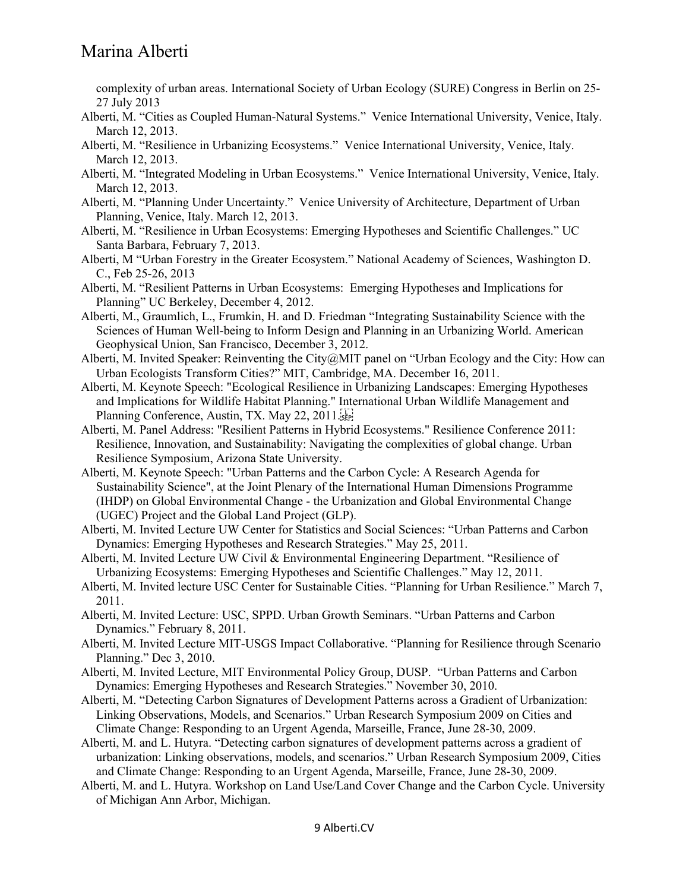complexity of urban areas. International Society of Urban Ecology (SURE) Congress in Berlin on 25- 27 July 2013

- Alberti, M. "Cities as Coupled Human-Natural Systems." Venice International University, Venice, Italy. March 12, 2013.
- Alberti, M. "Resilience in Urbanizing Ecosystems." Venice International University, Venice, Italy. March 12, 2013.
- Alberti, M. "Integrated Modeling in Urban Ecosystems." Venice International University, Venice, Italy. March 12, 2013.
- Alberti, M. "Planning Under Uncertainty." Venice University of Architecture, Department of Urban Planning, Venice, Italy. March 12, 2013.
- Alberti, M. "Resilience in Urban Ecosystems: Emerging Hypotheses and Scientific Challenges." UC Santa Barbara, February 7, 2013.
- Alberti, M "Urban Forestry in the Greater Ecosystem." National Academy of Sciences, Washington D. C., Feb 25-26, 2013
- Alberti, M. "Resilient Patterns in Urban Ecosystems: Emerging Hypotheses and Implications for Planning" UC Berkeley, December 4, 2012.
- Alberti, M., Graumlich, L., Frumkin, H. and D. Friedman "Integrating Sustainability Science with the Sciences of Human Well-being to Inform Design and Planning in an Urbanizing World. American Geophysical Union, San Francisco, December 3, 2012.
- Alberti, M. Invited Speaker: Reinventing the City@MIT panel on "Urban Ecology and the City: How can Urban Ecologists Transform Cities?" MIT, Cambridge, MA. December 16, 2011.
- Alberti, M. Keynote Speech: "Ecological Resilience in Urbanizing Landscapes: Emerging Hypotheses and Implications for Wildlife Habitat Planning." International Urban Wildlife Management and Planning Conference, Austin, TX. May 22, 2011.
- Alberti, M. Panel Address: "Resilient Patterns in Hybrid Ecosystems." Resilience Conference 2011: Resilience, Innovation, and Sustainability: Navigating the complexities of global change. Urban Resilience Symposium, Arizona State University.
- Alberti, M. Keynote Speech: "Urban Patterns and the Carbon Cycle: A Research Agenda for Sustainability Science", at the Joint Plenary of the International Human Dimensions Programme (IHDP) on Global Environmental Change - the Urbanization and Global Environmental Change (UGEC) Project and the Global Land Project (GLP).
- Alberti, M. Invited Lecture UW Center for Statistics and Social Sciences: "Urban Patterns and Carbon Dynamics: Emerging Hypotheses and Research Strategies." May 25, 2011.
- Alberti, M. Invited Lecture UW Civil & Environmental Engineering Department. "Resilience of Urbanizing Ecosystems: Emerging Hypotheses and Scientific Challenges." May 12, 2011.
- Alberti, M. Invited lecture USC Center for Sustainable Cities. "Planning for Urban Resilience." March 7, 2011.
- Alberti, M. Invited Lecture: USC, SPPD. Urban Growth Seminars. "Urban Patterns and Carbon Dynamics." February 8, 2011.
- Alberti, M. Invited Lecture MIT-USGS Impact Collaborative. "Planning for Resilience through Scenario Planning." Dec 3, 2010.
- Alberti, M. Invited Lecture, MIT Environmental Policy Group, DUSP. "Urban Patterns and Carbon Dynamics: Emerging Hypotheses and Research Strategies." November 30, 2010.
- Alberti, M. "Detecting Carbon Signatures of Development Patterns across a Gradient of Urbanization: Linking Observations, Models, and Scenarios." Urban Research Symposium 2009 on Cities and Climate Change: Responding to an Urgent Agenda, Marseille, France, June 28-30, 2009.
- Alberti, M. and L. Hutyra. "Detecting carbon signatures of development patterns across a gradient of urbanization: Linking observations, models, and scenarios." Urban Research Symposium 2009, Cities and Climate Change: Responding to an Urgent Agenda, Marseille, France, June 28-30, 2009.
- Alberti, M. and L. Hutyra. Workshop on Land Use/Land Cover Change and the Carbon Cycle. University of Michigan Ann Arbor, Michigan.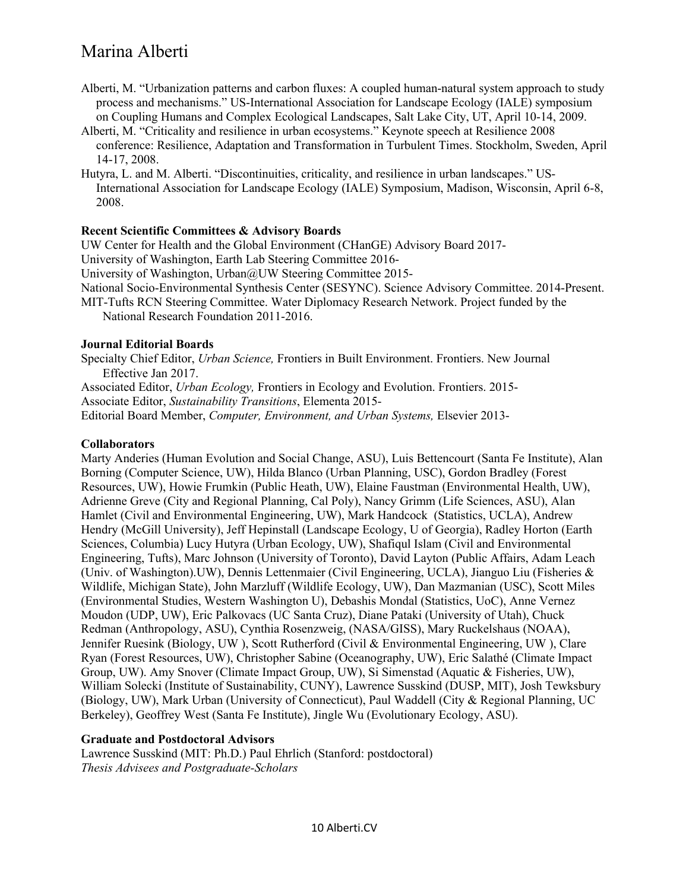- Alberti, M. "Urbanization patterns and carbon fluxes: A coupled human-natural system approach to study process and mechanisms." US-International Association for Landscape Ecology (IALE) symposium on Coupling Humans and Complex Ecological Landscapes, Salt Lake City, UT, April 10-14, 2009.
- Alberti, M. "Criticality and resilience in urban ecosystems." Keynote speech at Resilience 2008 conference: Resilience, Adaptation and Transformation in Turbulent Times. Stockholm, Sweden, April 14-17, 2008.
- Hutyra, L. and M. Alberti. "Discontinuities, criticality, and resilience in urban landscapes." US-International Association for Landscape Ecology (IALE) Symposium, Madison, Wisconsin, April 6-8, 2008.

## **Recent Scientific Committees & Advisory Boards**

UW Center for Health and the Global Environment (CHanGE) Advisory Board 2017-

University of Washington, Earth Lab Steering Committee 2016-

University of Washington, Urban@UW Steering Committee 2015-

National Socio-Environmental Synthesis Center (SESYNC). Science Advisory Committee. 2014-Present.

MIT-Tufts RCN Steering Committee. Water Diplomacy Research Network. Project funded by the National Research Foundation 2011-2016.

#### **Journal Editorial Boards**

Specialty Chief Editor, *Urban Science,* Frontiers in Built Environment. Frontiers. New Journal Effective Jan 2017.

Associated Editor, *Urban Ecology,* Frontiers in Ecology and Evolution. Frontiers. 2015- Associate Editor, *Sustainability Transitions*, Elementa 2015-

Editorial Board Member, *Computer, Environment, and Urban Systems,* Elsevier 2013-

### **Collaborators**

Marty Anderies (Human Evolution and Social Change, ASU), Luis Bettencourt (Santa Fe Institute), Alan Borning (Computer Science, UW), Hilda Blanco (Urban Planning, USC), Gordon Bradley (Forest Resources, UW), Howie Frumkin (Public Heath, UW), Elaine Faustman (Environmental Health, UW), Adrienne Greve (City and Regional Planning, Cal Poly), Nancy Grimm (Life Sciences, ASU), Alan Hamlet (Civil and Environmental Engineering, UW), Mark Handcock (Statistics, UCLA), Andrew Hendry (McGill University), Jeff Hepinstall (Landscape Ecology, U of Georgia), Radley Horton (Earth Sciences, Columbia) Lucy Hutyra (Urban Ecology, UW), Shafiqul Islam (Civil and Environmental Engineering, Tufts), Marc Johnson (University of Toronto), David Layton (Public Affairs, Adam Leach (Univ. of Washington).UW), Dennis Lettenmaier (Civil Engineering, UCLA), Jianguo Liu (Fisheries & Wildlife, Michigan State), John Marzluff (Wildlife Ecology, UW), Dan Mazmanian (USC), Scott Miles (Environmental Studies, Western Washington U), Debashis Mondal (Statistics, UoC), Anne Vernez Moudon (UDP, UW), Eric Palkovacs (UC Santa Cruz), Diane Pataki (University of Utah), Chuck Redman (Anthropology, ASU), Cynthia Rosenzweig, (NASA/GISS), Mary Ruckelshaus (NOAA), Jennifer Ruesink (Biology, UW ), Scott Rutherford (Civil & Environmental Engineering, UW ), Clare Ryan (Forest Resources, UW), Christopher Sabine (Oceanography, UW), Eric Salathé (Climate Impact Group, UW). Amy Snover (Climate Impact Group, UW), Si Simenstad (Aquatic & Fisheries, UW), William Solecki (Institute of Sustainability, CUNY), Lawrence Susskind (DUSP, MIT), Josh Tewksbury (Biology, UW), Mark Urban (University of Connecticut), Paul Waddell (City & Regional Planning, UC Berkeley), Geoffrey West (Santa Fe Institute), Jingle Wu (Evolutionary Ecology, ASU).

## **Graduate and Postdoctoral Advisors**

Lawrence Susskind (MIT: Ph.D.) Paul Ehrlich (Stanford: postdoctoral) *Thesis Advisees and Postgraduate-Scholars*